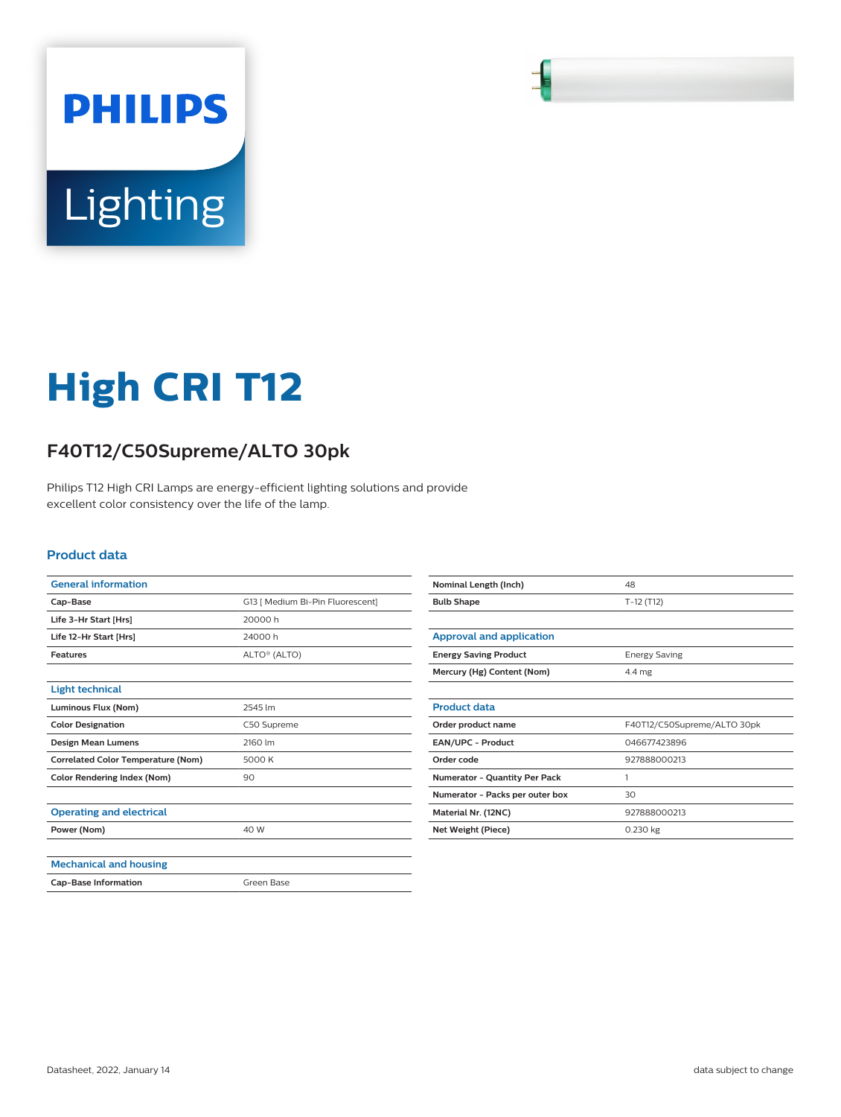

## **High CRI T12**

## **F40T12/C50Supreme/ALTO 30pk**

Philips T12 High CRI Lamps are energy-efficient lighting solutions and provide excellent color consistency over the life of the lamp.

## **Product data**

| <b>General information</b>                |                                  |
|-------------------------------------------|----------------------------------|
| Cap-Base                                  | G13   Medium Bi-Pin Fluorescent] |
| Life 3-Hr Start [Hrs]                     | 20000h                           |
| Life 12-Hr Start [Hrs]                    | 24000h                           |
| <b>Features</b>                           | ALTO <sup>®</sup> (ALTO)         |
|                                           |                                  |
| <b>Light technical</b>                    |                                  |
| Luminous Flux (Nom)                       | 2545 lm                          |
| <b>Color Designation</b>                  | C50 Supreme                      |
| <b>Design Mean Lumens</b>                 | 2160 lm                          |
| <b>Correlated Color Temperature (Nom)</b> | 5000 K                           |
| <b>Color Rendering Index (Nom)</b>        | 90                               |
|                                           |                                  |
| <b>Operating and electrical</b>           |                                  |
| Power (Nom)                               | 40 W                             |
|                                           |                                  |
| <b>Mechanical and housing</b>             |                                  |
| <b>Cap-Base Information</b>               | Green Base                       |

| Nominal Length (Inch)                | 48                          |
|--------------------------------------|-----------------------------|
| <b>Bulb Shape</b>                    | $T-12(T12)$                 |
|                                      |                             |
| <b>Approval and application</b>      |                             |
| <b>Energy Saving Product</b>         | <b>Energy Saving</b>        |
| Mercury (Hg) Content (Nom)           | $4.4 \text{ mg}$            |
|                                      |                             |
| <b>Product data</b>                  |                             |
| Order product name                   | F40T12/C50Supreme/ALTO 30pk |
| <b>EAN/UPC - Product</b>             | 046677423896                |
| Order code                           | 927888000213                |
| <b>Numerator - Quantity Per Pack</b> | 1                           |
| Numerator - Packs per outer box      | 30                          |
| Material Nr. (12NC)                  | 927888000213                |
| Net Weight (Piece)                   | $0.230$ kg                  |